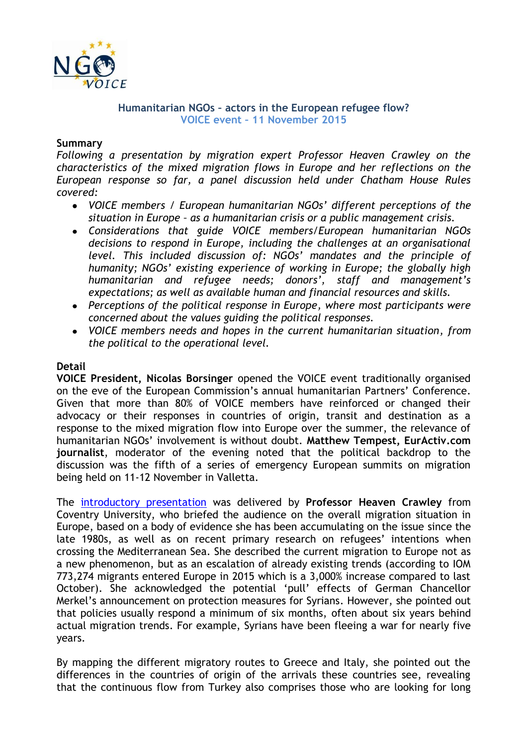

## **Humanitarian NGOs – actors in the European refugee flow? VOICE event – 11 November 2015**

## **Summary**

*Following a presentation by migration expert Professor Heaven Crawley on the characteristics of the mixed migration flows in Europe and her reflections on the European response so far, a panel discussion held under Chatham House Rules covered:*

- *VOICE members / European humanitarian NGOs' different perceptions of the situation in Europe – as a humanitarian crisis or a public management crisis.*
- *Considerations that guide VOICE members/European humanitarian NGOs decisions to respond in Europe, including the challenges at an organisational level. This included discussion of: NGOs' mandates and the principle of humanity; NGOs' existing experience of working in Europe; the globally high humanitarian and refugee needs; donors', staff and management's expectations; as well as available human and financial resources and skills.*
- *Perceptions of the political response in Europe, where most participants were concerned about the values guiding the political responses.*
- *VOICE members needs and hopes in the current humanitarian situation, from the political to the operational level.*

### **Detail**

**VOICE President, Nicolas Borsinger** opened the VOICE event traditionally organised on the eve of the European Commission's annual humanitarian Partners' Conference. Given that more than 80% of VOICE members have reinforced or changed their advocacy or their responses in countries of origin, transit and destination as a response to the mixed migration flow into Europe over the summer, the relevance of humanitarian NGOs' involvement is without doubt. **Matthew Tempest, EurActiv.com journalist**, moderator of the evening noted that the political backdrop to the discussion was the fifth of a series of emergency European summits on migration being held on 11-12 November in Valletta.

The [introductory presentation](http://www.ngovoice.org/documents/view.php?title=VOICE%20event%20Prof%20Crawley%20presentation%2011%20Nov%202015.pdf) was delivered by **Professor Heaven Crawley** from Coventry University, who briefed the audience on the overall migration situation in Europe, based on a body of evidence she has been accumulating on the issue since the late 1980s, as well as on recent primary research on refugees' intentions when crossing the Mediterranean Sea. She described the current migration to Europe not as a new phenomenon, but as an escalation of already existing trends (according to IOM 773,274 migrants entered Europe in 2015 which is a 3,000% increase compared to last October). She acknowledged the potential 'pull' effects of German Chancellor Merkel's announcement on protection measures for Syrians. However, she pointed out that policies usually respond a minimum of six months, often about six years behind actual migration trends. For example, Syrians have been fleeing a war for nearly five years.

By mapping the different migratory routes to Greece and Italy, she pointed out the differences in the countries of origin of the arrivals these countries see, revealing that the continuous flow from Turkey also comprises those who are looking for long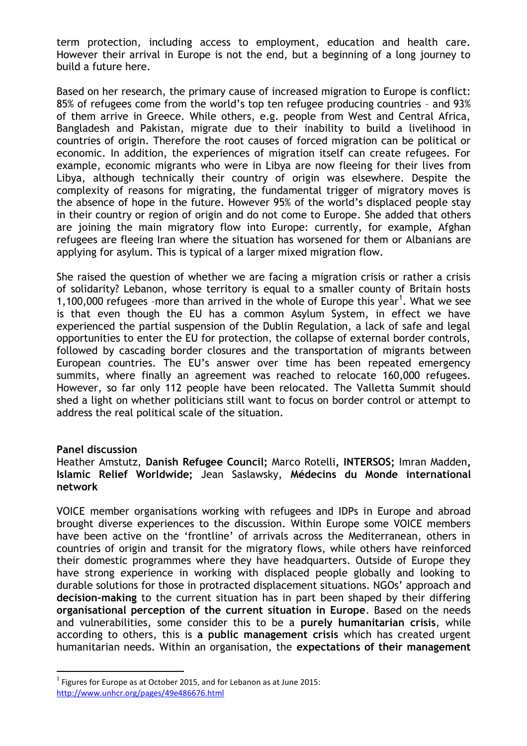term protection, including access to employment, education and health care. However their arrival in Europe is not the end, but a beginning of a long journey to build a future here.

Based on her research, the primary cause of increased migration to Europe is conflict: 85% of refugees come from the world's top ten refugee producing countries – and 93% of them arrive in Greece. While others, e.g. people from West and Central Africa, Bangladesh and Pakistan, migrate due to their inability to build a livelihood in countries of origin. Therefore the root causes of forced migration can be political or economic. In addition, the experiences of migration itself can create refugees. For example, economic migrants who were in Libya are now fleeing for their lives from Libya, although technically their country of origin was elsewhere. Despite the complexity of reasons for migrating, the fundamental trigger of migratory moves is the absence of hope in the future. However 95% of the world's displaced people stay in their country or region of origin and do not come to Europe. She added that others are joining the main migratory flow into Europe: currently, for example, Afghan refugees are fleeing Iran where the situation has worsened for them or Albanians are applying for asylum. This is typical of a larger mixed migration flow.

She raised the question of whether we are facing a migration crisis or rather a crisis of solidarity? Lebanon, whose territory is equal to a smaller county of Britain hosts 1,100,000 refugees -more than arrived in the whole of Europe this year<sup>1</sup>. What we see is that even though the EU has a common Asylum System, in effect we have experienced the partial suspension of the Dublin Regulation, a lack of safe and legal opportunities to enter the EU for protection, the collapse of external border controls, followed by cascading border closures and the transportation of migrants between European countries. The EU's answer over time has been repeated emergency summits, where finally an agreement was reached to relocate 160,000 refugees. However, so far only 112 people have been relocated. The Valletta Summit should shed a light on whether politicians still want to focus on border control or attempt to address the real political scale of the situation.

# **Panel discussion**

 $\overline{a}$ 

# Heather Amstutz, **Danish Refugee Council;** Marco Rotelli**, INTERSOS;** Imran Madden**, Islamic Relief Worldwide;** Jean Saslawsky, **Médecins du Monde international network**

VOICE member organisations working with refugees and IDPs in Europe and abroad brought diverse experiences to the discussion. Within Europe some VOICE members have been active on the 'frontline' of arrivals across the Mediterranean, others in countries of origin and transit for the migratory flows, while others have reinforced their domestic programmes where they have headquarters. Outside of Europe they have strong experience in working with displaced people globally and looking to durable solutions for those in protracted displacement situations. NGOs' approach and **decision-making** to the current situation has in part been shaped by their differing **organisational perception of the current situation in Europe**. Based on the needs and vulnerabilities, some consider this to be a **purely humanitarian crisis**, while according to others, this is **a public management crisis** which has created urgent humanitarian needs. Within an organisation, the **expectations of their management** 

 $<sup>1</sup>$  Figures for Europe as at October 2015, and for Lebanon as at June 2015:</sup> <http://www.unhcr.org/pages/49e486676.html>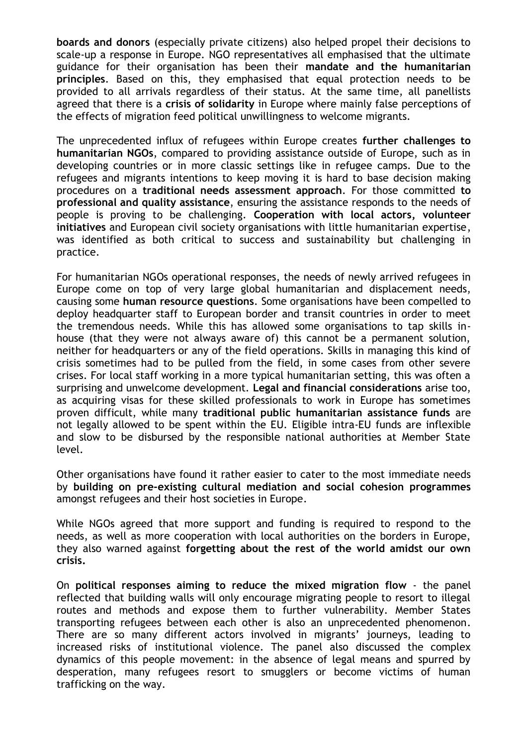**boards and donors** (especially private citizens) also helped propel their decisions to scale-up a response in Europe. NGO representatives all emphasised that the ultimate guidance for their organisation has been their **mandate and the humanitarian principles**. Based on this, they emphasised that equal protection needs to be provided to all arrivals regardless of their status. At the same time, all panellists agreed that there is a **crisis of solidarity** in Europe where mainly false perceptions of the effects of migration feed political unwillingness to welcome migrants.

The unprecedented influx of refugees within Europe creates **further challenges to humanitarian NGOs**, compared to providing assistance outside of Europe, such as in developing countries or in more classic settings like in refugee camps. Due to the refugees and migrants intentions to keep moving it is hard to base decision making procedures on a **traditional needs assessment approach**. For those committed **to professional and quality assistance**, ensuring the assistance responds to the needs of people is proving to be challenging. **Cooperation with local actors, volunteer initiatives** and European civil society organisations with little humanitarian expertise, was identified as both critical to success and sustainability but challenging in practice.

For humanitarian NGOs operational responses, the needs of newly arrived refugees in Europe come on top of very large global humanitarian and displacement needs, causing some **human resource questions**. Some organisations have been compelled to deploy headquarter staff to European border and transit countries in order to meet the tremendous needs. While this has allowed some organisations to tap skills inhouse (that they were not always aware of) this cannot be a permanent solution, neither for headquarters or any of the field operations. Skills in managing this kind of crisis sometimes had to be pulled from the field, in some cases from other severe crises. For local staff working in a more typical humanitarian setting, this was often a surprising and unwelcome development. **Legal and financial considerations** arise too, as acquiring visas for these skilled professionals to work in Europe has sometimes proven difficult, while many **traditional public humanitarian assistance funds** are not legally allowed to be spent within the EU. Eligible intra-EU funds are inflexible and slow to be disbursed by the responsible national authorities at Member State level.

Other organisations have found it rather easier to cater to the most immediate needs by **building on pre-existing cultural mediation and social cohesion programmes** amongst refugees and their host societies in Europe.

While NGOs agreed that more support and funding is required to respond to the needs, as well as more cooperation with local authorities on the borders in Europe, they also warned against **forgetting about the rest of the world amidst our own crisis.** 

On **political responses aiming to reduce the mixed migration flow** - the panel reflected that building walls will only encourage migrating people to resort to illegal routes and methods and expose them to further vulnerability. Member States transporting refugees between each other is also an unprecedented phenomenon. There are so many different actors involved in migrants' journeys, leading to increased risks of institutional violence. The panel also discussed the complex dynamics of this people movement: in the absence of legal means and spurred by desperation, many refugees resort to smugglers or become victims of human trafficking on the way.